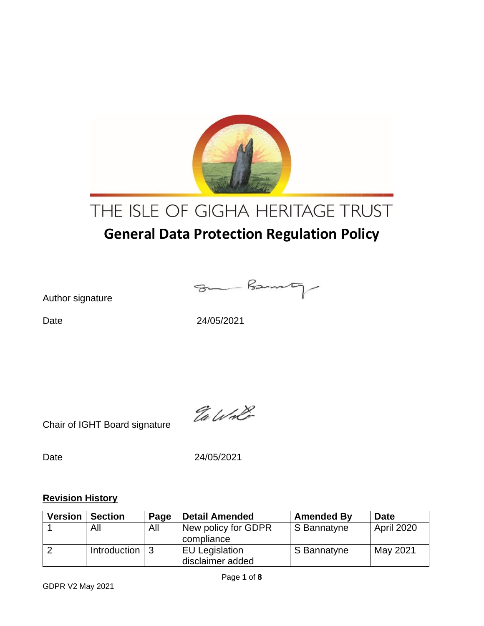

# THE ISLE OF GIGHA HERITAGE TRUST

# **General Data Protection Regulation Policy**

Author signature

Som Barnety

Date 24/05/2021

Chair of IGHT Board signature

Ea Wolf

Date 24/05/2021

#### **Revision History**

| <b>Version</b> | <b>Section</b>               | Page | <b>Detail Amended</b>                     | <b>Amended By</b> | <b>Date</b>       |
|----------------|------------------------------|------|-------------------------------------------|-------------------|-------------------|
|                | All                          | All  | New policy for GDPR<br>compliance         | S Bannatyne       | <b>April 2020</b> |
|                | Introduction $\vert 3 \vert$ |      | <b>EU Legislation</b><br>disclaimer added | S Bannatyne       | May 2021          |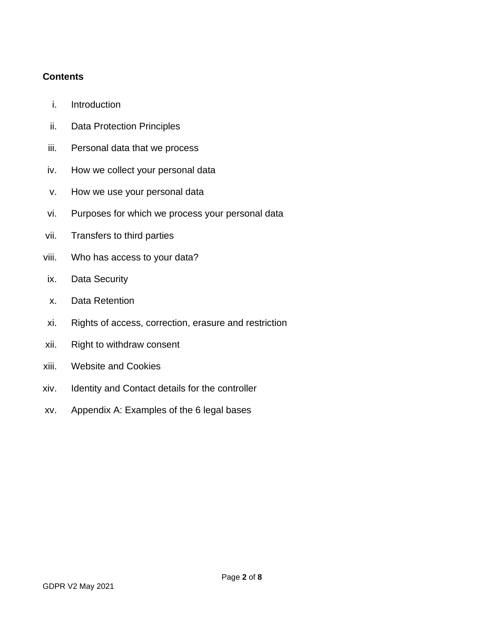#### **Contents**

- i. Introduction
- ii. Data Protection Principles
- iii. Personal data that we process
- iv. How we collect your personal data
- v. How we use your personal data
- vi. Purposes for which we process your personal data
- vii. Transfers to third parties
- viii. Who has access to your data?
- ix. Data Security
- x. Data Retention
- xi. Rights of access, correction, erasure and restriction
- xii. Right to withdraw consent
- xiii. Website and Cookies
- xiv. Identity and Contact details for the controller
- xv. Appendix A: Examples of the 6 legal bases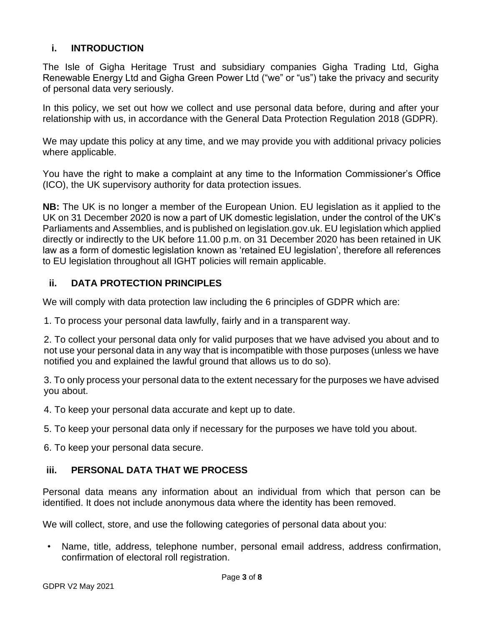#### **i. INTRODUCTION**

The Isle of Gigha Heritage Trust and subsidiary companies Gigha Trading Ltd, Gigha Renewable Energy Ltd and Gigha Green Power Ltd ("we" or "us") take the privacy and security of personal data very seriously.

In this policy, we set out how we collect and use personal data before, during and after your relationship with us, in accordance with the General Data Protection Regulation 2018 (GDPR).

We may update this policy at any time, and we may provide you with additional privacy policies where applicable.

You have the right to make a complaint at any time to the Information Commissioner's Office (ICO), the UK supervisory authority for data protection issues.

**NB:** The UK is no longer a member of the European Union. EU legislation as it applied to the UK on 31 December 2020 is now a part of UK domestic legislation, under the control of the UK's Parliaments and Assemblies, and is published on legislation.gov.uk. EU legislation which applied directly or indirectly to the UK before 11.00 p.m. on 31 December 2020 has been retained in UK law as a form of domestic legislation known as 'retained EU legislation', therefore all references to EU legislation throughout all IGHT policies will remain applicable.

### **ii. DATA PROTECTION PRINCIPLES**

We will comply with data protection law including the 6 principles of GDPR which are:

1. To process your personal data lawfully, fairly and in a transparent way.

2. To collect your personal data only for valid purposes that we have advised you about and to not use your personal data in any way that is incompatible with those purposes (unless we have notified you and explained the lawful ground that allows us to do so).

3. To only process your personal data to the extent necessary for the purposes we have advised you about.

4. To keep your personal data accurate and kept up to date.

5. To keep your personal data only if necessary for the purposes we have told you about.

6. To keep your personal data secure.

#### **iii. PERSONAL DATA THAT WE PROCESS**

Personal data means any information about an individual from which that person can be identified. It does not include anonymous data where the identity has been removed.

We will collect, store, and use the following categories of personal data about you:

• Name, title, address, telephone number, personal email address, address confirmation, confirmation of electoral roll registration.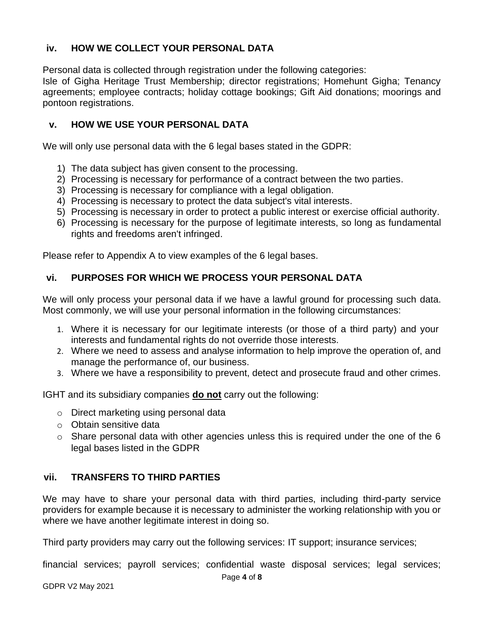### **iv. HOW WE COLLECT YOUR PERSONAL DATA**

Personal data is collected through registration under the following categories:

Isle of Gigha Heritage Trust Membership; director registrations; Homehunt Gigha; Tenancy agreements; employee contracts; holiday cottage bookings; Gift Aid donations; moorings and pontoon registrations.

### **v. HOW WE USE YOUR PERSONAL DATA**

We will only use personal data with the 6 legal bases stated in the GDPR:

- 1) The data subject has given consent to the processing.
- 2) Processing is necessary for performance of a contract between the two parties.
- 3) Processing is necessary for compliance with a legal obligation.
- 4) Processing is necessary to protect the data subject's vital interests.
- 5) Processing is necessary in order to protect a public interest or exercise official authority.
- 6) Processing is necessary for the purpose of legitimate interests, so long as fundamental rights and freedoms aren't infringed.

Please refer to Appendix A to view examples of the 6 legal bases.

# **vi. PURPOSES FOR WHICH WE PROCESS YOUR PERSONAL DATA**

We will only process your personal data if we have a lawful ground for processing such data. Most commonly, we will use your personal information in the following circumstances:

- 1. Where it is necessary for our legitimate interests (or those of a third party) and your interests and fundamental rights do not override those interests.
- 2. Where we need to assess and analyse information to help improve the operation of, and manage the performance of, our business.
- 3. Where we have a responsibility to prevent, detect and prosecute fraud and other crimes.

IGHT and its subsidiary companies **do not** carry out the following:

- o Direct marketing using personal data
- o Obtain sensitive data
- $\circ$  Share personal data with other agencies unless this is required under the one of the 6 legal bases listed in the GDPR

# **vii. TRANSFERS TO THIRD PARTIES**

We may have to share your personal data with third parties, including third-party service providers for example because it is necessary to administer the working relationship with you or where we have another legitimate interest in doing so.

Third party providers may carry out the following services: IT support; insurance services;

financial services; payroll services; confidential waste disposal services; legal services;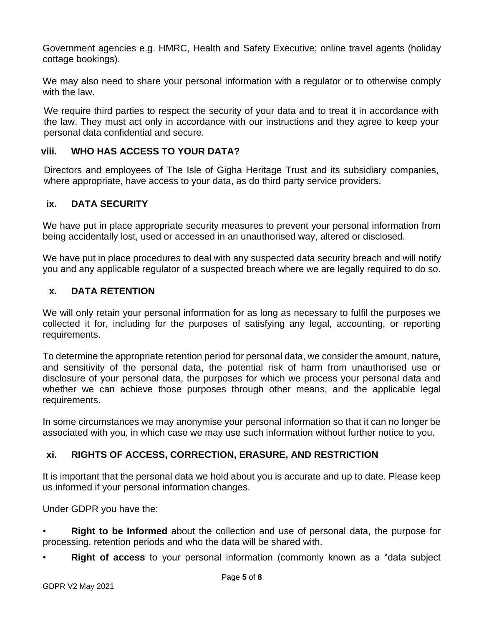Government agencies e.g. HMRC, Health and Safety Executive; online travel agents (holiday cottage bookings).

We may also need to share your personal information with a regulator or to otherwise comply with the law.

We require third parties to respect the security of your data and to treat it in accordance with the law. They must act only in accordance with our instructions and they agree to keep your personal data confidential and secure.

#### **viii. WHO HAS ACCESS TO YOUR DATA?**

Directors and employees of The Isle of Gigha Heritage Trust and its subsidiary companies, where appropriate, have access to your data, as do third party service providers.

#### **ix. DATA SECURITY**

We have put in place appropriate security measures to prevent your personal information from being accidentally lost, used or accessed in an unauthorised way, altered or disclosed.

We have put in place procedures to deal with any suspected data security breach and will notify you and any applicable regulator of a suspected breach where we are legally required to do so.

#### **x. DATA RETENTION**

We will only retain your personal information for as long as necessary to fulfil the purposes we collected it for, including for the purposes of satisfying any legal, accounting, or reporting requirements.

To determine the appropriate retention period for personal data, we consider the amount, nature, and sensitivity of the personal data, the potential risk of harm from unauthorised use or disclosure of your personal data, the purposes for which we process your personal data and whether we can achieve those purposes through other means, and the applicable legal requirements.

In some circumstances we may anonymise your personal information so that it can no longer be associated with you, in which case we may use such information without further notice to you.

#### **xi. RIGHTS OF ACCESS, CORRECTION, ERASURE, AND RESTRICTION**

It is important that the personal data we hold about you is accurate and up to date. Please keep us informed if your personal information changes.

Under GDPR you have the:

• **Right to be Informed** about the collection and use of personal data, the purpose for processing, retention periods and who the data will be shared with.

• **Right of access** to your personal information (commonly known as a "data subject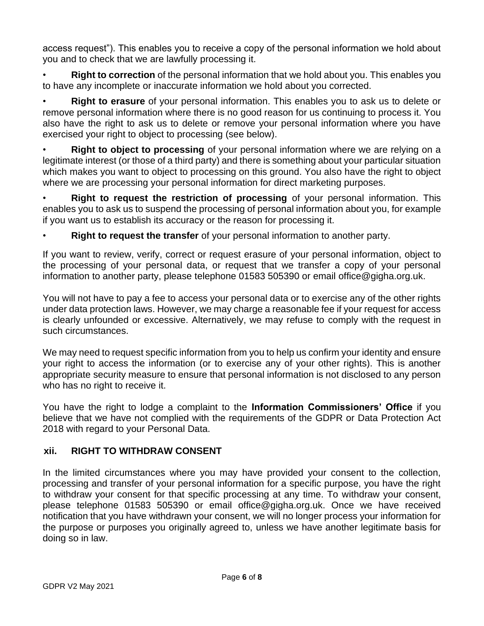access request"). This enables you to receive a copy of the personal information we hold about you and to check that we are lawfully processing it.

• **Right to correction** of the personal information that we hold about you. This enables you to have any incomplete or inaccurate information we hold about you corrected.

• **Right to erasure** of your personal information. This enables you to ask us to delete or remove personal information where there is no good reason for us continuing to process it. You also have the right to ask us to delete or remove your personal information where you have exercised your right to object to processing (see below).

• **Right to object to processing** of your personal information where we are relying on a legitimate interest (or those of a third party) and there is something about your particular situation which makes you want to object to processing on this ground. You also have the right to object where we are processing your personal information for direct marketing purposes.

**Right to request the restriction of processing** of your personal information. This enables you to ask us to suspend the processing of personal information about you, for example if you want us to establish its accuracy or the reason for processing it.

**Right to request the transfer** of your personal information to another party.

If you want to review, verify, correct or request erasure of your personal information, object to the processing of your personal data, or request that we transfer a copy of your personal information to another party, please telephone 01583 505390 or email [office@gigha.org.uk.](mailto:office@gigha.org.uk)

You will not have to pay a fee to access your personal data or to exercise any of the other rights under data protection laws. However, we may charge a reasonable fee if your request for access is clearly unfounded or excessive. Alternatively, we may refuse to comply with the request in such circumstances.

We may need to request specific information from you to help us confirm your identity and ensure your right to access the information (or to exercise any of your other rights). This is another appropriate security measure to ensure that personal information is not disclosed to any person who has no right to receive it.

You have the right to lodge a complaint to the **Information Commissioners' Office** if you believe that we have not complied with the requirements of the GDPR or Data Protection Act 2018 with regard to your Personal Data.

# **xii. RIGHT TO WITHDRAW CONSENT**

In the limited circumstances where you may have provided your consent to the collection, processing and transfer of your personal information for a specific purpose, you have the right to withdraw your consent for that specific processing at any time. To withdraw your consent, please telephone 01583 505390 or email [office@gigha.org.uk.](mailto:office@gigha.org.uk) Once we have received notification that you have withdrawn your consent, we will no longer process your information for the purpose or purposes you originally agreed to, unless we have another legitimate basis for doing so in law.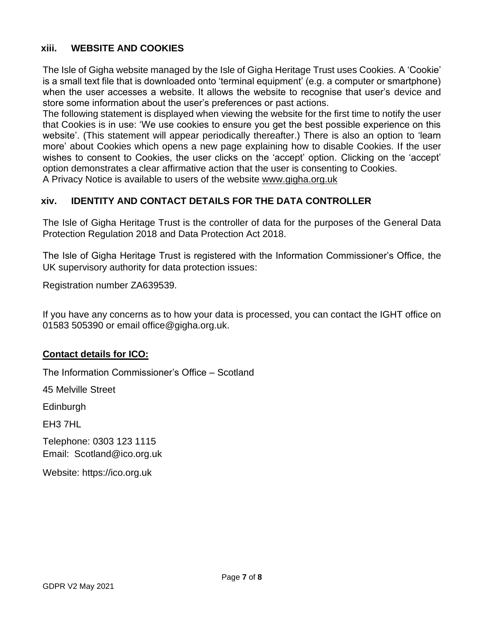#### **xiii. WEBSITE AND COOKIES**

The Isle of Gigha website managed by the Isle of Gigha Heritage Trust uses Cookies. A 'Cookie' is a small text file that is downloaded onto 'terminal equipment' (e.g. a computer or smartphone) when the user accesses a website. It allows the website to recognise that user's device and store some information about the user's preferences or past actions.

The following statement is displayed when viewing the website for the first time to notify the user that Cookies is in use: 'We use cookies to ensure you get the best possible experience on this website'. (This statement will appear periodically thereafter.) There is also an option to 'learn more' about Cookies which opens a new page explaining how to disable Cookies. If the user wishes to consent to Cookies, the user clicks on the 'accept' option. Clicking on the 'accept' option demonstrates a clear affirmative action that the user is consenting to Cookies. A Privacy Notice is available to users of the website [www.gigha.org.uk](http://www.gigha.org.uk/)

### **xiv. IDENTITY AND CONTACT DETAILS FOR THE DATA CONTROLLER**

The Isle of Gigha Heritage Trust is the controller of data for the purposes of the General Data Protection Regulation 2018 and Data Protection Act 2018.

The Isle of Gigha Heritage Trust is registered with the Information Commissioner's Office, the UK supervisory authority for data protection issues:

Registration number ZA639539.

If you have any concerns as to how your data is processed, you can contact the IGHT office on 01583 505390 or email office@gigha.org.uk.

#### **Contact details for ICO:**

The Information Commissioner's Office – Scotland

45 Melville Street

Edinburgh

EH3 7HL

Telephone: 0303 123 1115 Email: [Scotland@ico.org.uk](mailto:Scotland@ico.org.uk)

Website: https://ico.org.uk